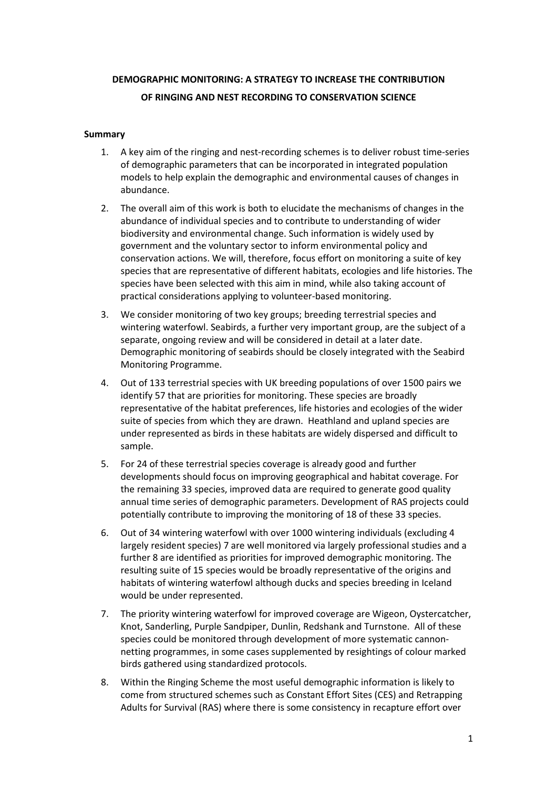# **DEMOGRAPHIC MONITORING: A STRATEGY TO INCREASE THE CONTRIBUTION OF RINGING AND NEST RECORDING TO CONSERVATION SCIENCE**

# **Summary**

- 1. A key aim of the ringing and nest-recording schemes is to deliver robust time-series of demographic parameters that can be incorporated in integrated population models to help explain the demographic and environmental causes of changes in abundance.
- 2. The overall aim of this work is both to elucidate the mechanisms of changes in the abundance of individual species and to contribute to understanding of wider biodiversity and environmental change. Such information is widely used by government and the voluntary sector to inform environmental policy and conservation actions. We will, therefore, focus effort on monitoring a suite of key species that are representative of different habitats, ecologies and life histories. The species have been selected with this aim in mind, while also taking account of practical considerations applying to volunteer-based monitoring.
- 3. We consider monitoring of two key groups; breeding terrestrial species and wintering waterfowl. Seabirds, a further very important group, are the subject of a separate, ongoing review and will be considered in detail at a later date. Demographic monitoring of seabirds should be closely integrated with the Seabird Monitoring Programme.
- 4. Out of 133 terrestrial species with UK breeding populations of over 1500 pairs we identify 57 that are priorities for monitoring. These species are broadly representative of the habitat preferences, life histories and ecologies of the wider suite of species from which they are drawn. Heathland and upland species are under represented as birds in these habitats are widely dispersed and difficult to sample.
- 5. For 24 of these terrestrial species coverage is already good and further developments should focus on improving geographical and habitat coverage. For the remaining 33 species, improved data are required to generate good quality annual time series of demographic parameters. Development of RAS projects could potentially contribute to improving the monitoring of 18 of these 33 species.
- 6. Out of 34 wintering waterfowl with over 1000 wintering individuals (excluding 4 largely resident species) 7 are well monitored via largely professional studies and a further 8 are identified as priorities for improved demographic monitoring. The resulting suite of 15 species would be broadly representative of the origins and habitats of wintering waterfowl although ducks and species breeding in Iceland would be under represented.
- 7. The priority wintering waterfowl for improved coverage are Wigeon, Oystercatcher, Knot, Sanderling, Purple Sandpiper, Dunlin, Redshank and Turnstone. All of these species could be monitored through development of more systematic cannonnetting programmes, in some cases supplemented by resightings of colour marked birds gathered using standardized protocols.
- 8. Within the Ringing Scheme the most useful demographic information is likely to come from structured schemes such as Constant Effort Sites (CES) and Retrapping Adults for Survival (RAS) where there is some consistency in recapture effort over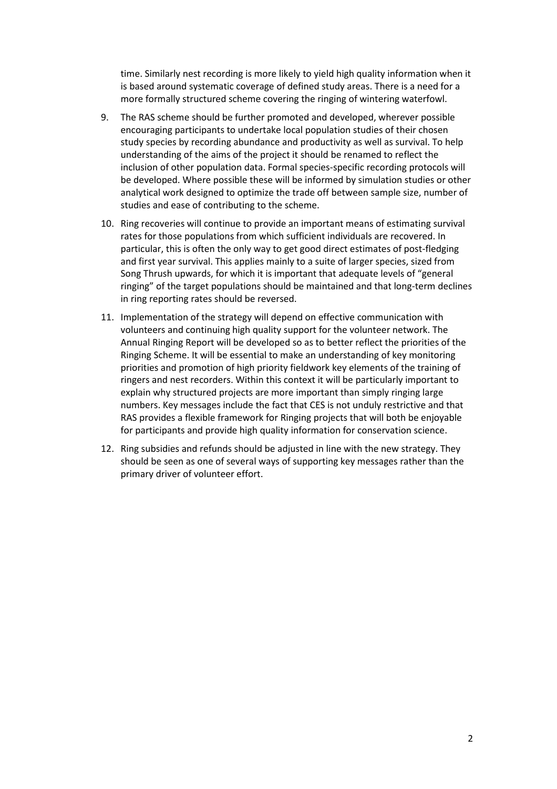time. Similarly nest recording is more likely to yield high quality information when it is based around systematic coverage of defined study areas. There is a need for a more formally structured scheme covering the ringing of wintering waterfowl.

- 9. The RAS scheme should be further promoted and developed, wherever possible encouraging participants to undertake local population studies of their chosen study species by recording abundance and productivity as well as survival. To help understanding of the aims of the project it should be renamed to reflect the inclusion of other population data. Formal species-specific recording protocols will be developed. Where possible these will be informed by simulation studies or other analytical work designed to optimize the trade off between sample size, number of studies and ease of contributing to the scheme.
- 10. Ring recoveries will continue to provide an important means of estimating survival rates for those populations from which sufficient individuals are recovered. In particular, this is often the only way to get good direct estimates of post-fledging and first year survival. This applies mainly to a suite of larger species, sized from Song Thrush upwards, for which it is important that adequate levels of "general ringing" of the target populations should be maintained and that long-term declines in ring reporting rates should be reversed.
- 11. Implementation of the strategy will depend on effective communication with volunteers and continuing high quality support for the volunteer network. The Annual Ringing Report will be developed so as to better reflect the priorities of the Ringing Scheme. It will be essential to make an understanding of key monitoring priorities and promotion of high priority fieldwork key elements of the training of ringers and nest recorders. Within this context it will be particularly important to explain why structured projects are more important than simply ringing large numbers. Key messages include the fact that CES is not unduly restrictive and that RAS provides a flexible framework for Ringing projects that will both be enjoyable for participants and provide high quality information for conservation science.
- 12. Ring subsidies and refunds should be adjusted in line with the new strategy. They should be seen as one of several ways of supporting key messages rather than the primary driver of volunteer effort.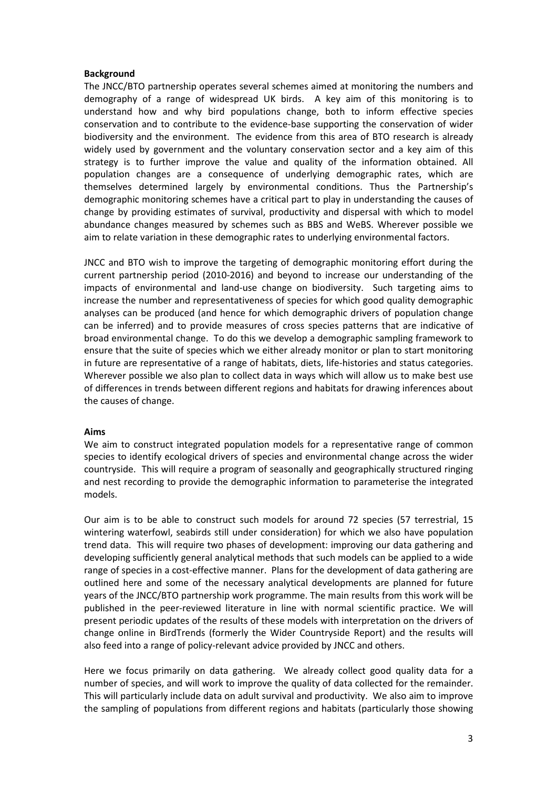#### **Background**

The JNCC/BTO partnership operates several schemes aimed at monitoring the numbers and demography of a range of widespread UK birds. A key aim of this monitoring is to understand how and why bird populations change, both to inform effective species conservation and to contribute to the evidence-base supporting the conservation of wider biodiversity and the environment. The evidence from this area of BTO research is already widely used by government and the voluntary conservation sector and a key aim of this strategy is to further improve the value and quality of the information obtained. All population changes are a consequence of underlying demographic rates, which are themselves determined largely by environmental conditions. Thus the Partnership's demographic monitoring schemes have a critical part to play in understanding the causes of change by providing estimates of survival, productivity and dispersal with which to model abundance changes measured by schemes such as BBS and WeBS. Wherever possible we aim to relate variation in these demographic rates to underlying environmental factors.

JNCC and BTO wish to improve the targeting of demographic monitoring effort during the current partnership period (2010-2016) and beyond to increase our understanding of the impacts of environmental and land-use change on biodiversity. Such targeting aims to increase the number and representativeness of species for which good quality demographic analyses can be produced (and hence for which demographic drivers of population change can be inferred) and to provide measures of cross species patterns that are indicative of broad environmental change. To do this we develop a demographic sampling framework to ensure that the suite of species which we either already monitor or plan to start monitoring in future are representative of a range of habitats, diets, life-histories and status categories. Wherever possible we also plan to collect data in ways which will allow us to make best use of differences in trends between different regions and habitats for drawing inferences about the causes of change.

#### **Aims**

We aim to construct integrated population models for a representative range of common species to identify ecological drivers of species and environmental change across the wider countryside. This will require a program of seasonally and geographically structured ringing and nest recording to provide the demographic information to parameterise the integrated models.

Our aim is to be able to construct such models for around 72 species (57 terrestrial, 15 wintering waterfowl, seabirds still under consideration) for which we also have population trend data. This will require two phases of development: improving our data gathering and developing sufficiently general analytical methods that such models can be applied to a wide range of species in a cost-effective manner. Plans for the development of data gathering are outlined here and some of the necessary analytical developments are planned for future years of the JNCC/BTO partnership work programme. The main results from this work will be published in the peer-reviewed literature in line with normal scientific practice. We will present periodic updates of the results of these models with interpretation on the drivers of change online in BirdTrends (formerly the Wider Countryside Report) and the results will also feed into a range of policy-relevant advice provided by JNCC and others.

Here we focus primarily on data gathering. We already collect good quality data for a number of species, and will work to improve the quality of data collected for the remainder. This will particularly include data on adult survival and productivity. We also aim to improve the sampling of populations from different regions and habitats (particularly those showing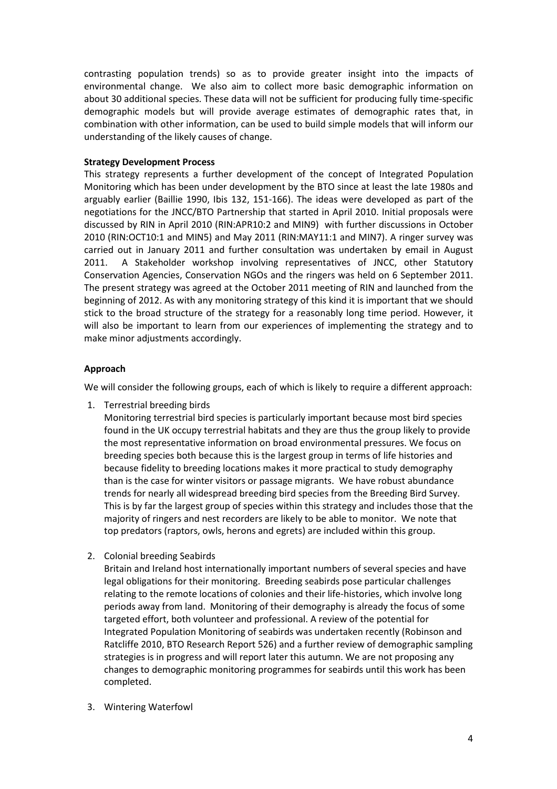contrasting population trends) so as to provide greater insight into the impacts of environmental change. We also aim to collect more basic demographic information on about 30 additional species. These data will not be sufficient for producing fully time-specific demographic models but will provide average estimates of demographic rates that, in combination with other information, can be used to build simple models that will inform our understanding of the likely causes of change.

## **Strategy Development Process**

This strategy represents a further development of the concept of Integrated Population Monitoring which has been under development by the BTO since at least the late 1980s and arguably earlier (Baillie 1990, Ibis 132, 151-166). The ideas were developed as part of the negotiations for the JNCC/BTO Partnership that started in April 2010. Initial proposals were discussed by RIN in April 2010 (RIN:APR10:2 and MIN9) with further discussions in October 2010 (RIN:OCT10:1 and MIN5) and May 2011 (RIN:MAY11:1 and MIN7). A ringer survey was carried out in January 2011 and further consultation was undertaken by email in August 2011. A Stakeholder workshop involving representatives of JNCC, other Statutory Conservation Agencies, Conservation NGOs and the ringers was held on 6 September 2011. The present strategy was agreed at the October 2011 meeting of RIN and launched from the beginning of 2012. As with any monitoring strategy of this kind it is important that we should stick to the broad structure of the strategy for a reasonably long time period. However, it will also be important to learn from our experiences of implementing the strategy and to make minor adjustments accordingly.

# **Approach**

We will consider the following groups, each of which is likely to require a different approach:

1. Terrestrial breeding birds

Monitoring terrestrial bird species is particularly important because most bird species found in the UK occupy terrestrial habitats and they are thus the group likely to provide the most representative information on broad environmental pressures. We focus on breeding species both because this is the largest group in terms of life histories and because fidelity to breeding locations makes it more practical to study demography than is the case for winter visitors or passage migrants. We have robust abundance trends for nearly all widespread breeding bird species from the Breeding Bird Survey. This is by far the largest group of species within this strategy and includes those that the majority of ringers and nest recorders are likely to be able to monitor. We note that top predators (raptors, owls, herons and egrets) are included within this group.

2. Colonial breeding Seabirds

Britain and Ireland host internationally important numbers of several species and have legal obligations for their monitoring. Breeding seabirds pose particular challenges relating to the remote locations of colonies and their life-histories, which involve long periods away from land. Monitoring of their demography is already the focus of some targeted effort, both volunteer and professional. A review of the potential for Integrated Population Monitoring of seabirds was undertaken recently (Robinson and Ratcliffe 2010, BTO Research Report 526) and a further review of demographic sampling strategies is in progress and will report later this autumn. We are not proposing any changes to demographic monitoring programmes for seabirds until this work has been completed.

3. Wintering Waterfowl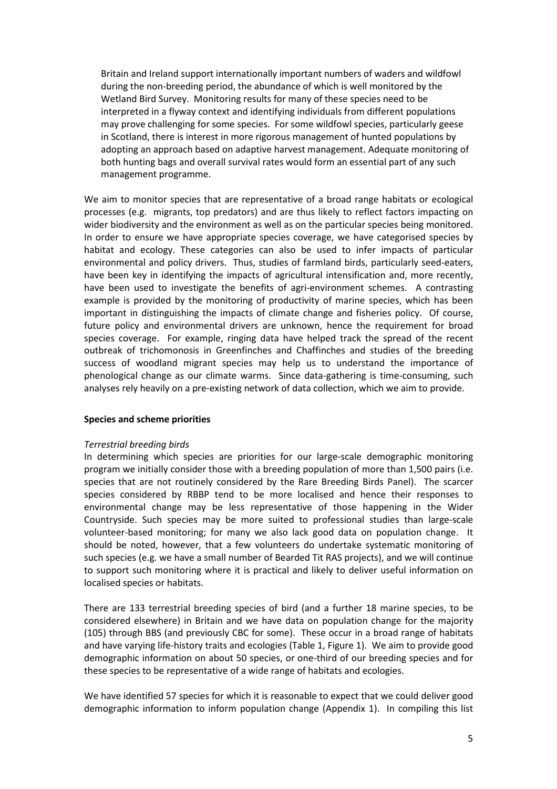Britain and Ireland support internationally important numbers of waders and wildfowl during the non-breeding period, the abundance of which is well monitored by the Wetland Bird Survey. Monitoring results for many of these species need to be interpreted in a flyway context and identifying individuals from different populations may prove challenging for some species. For some wildfowl species, particularly geese in Scotland, there is interest in more rigorous management of hunted populations by adopting an approach based on adaptive harvest management. Adequate monitoring of both hunting bags and overall survival rates would form an essential part of any such management programme.

We aim to monitor species that are representative of a broad range habitats or ecological processes (e.g. migrants, top predators) and are thus likely to reflect factors impacting on wider biodiversity and the environment as well as on the particular species being monitored. In order to ensure we have appropriate species coverage, we have categorised species by habitat and ecology. These categories can also be used to infer impacts of particular environmental and policy drivers. Thus, studies of farmland birds, particularly seed-eaters, have been key in identifying the impacts of agricultural intensification and, more recently, have been used to investigate the benefits of agri-environment schemes. A contrasting example is provided by the monitoring of productivity of marine species, which has been important in distinguishing the impacts of climate change and fisheries policy. Of course, future policy and environmental drivers are unknown, hence the requirement for broad species coverage. For example, ringing data have helped track the spread of the recent outbreak of trichomonosis in Greenfinches and Chaffinches and studies of the breeding success of woodland migrant species may help us to understand the importance of phenological change as our climate warms. Since data-gathering is time-consuming, such analyses rely heavily on a pre-existing network of data collection, which we aim to provide.

#### **Species and scheme priorities**

#### *Terrestrial breeding birds*

In determining which species are priorities for our large-scale demographic monitoring program we initially consider those with a breeding population of more than 1,500 pairs (i.e. species that are not routinely considered by the Rare Breeding Birds Panel). The scarcer species considered by RBBP tend to be more localised and hence their responses to environmental change may be less representative of those happening in the Wider Countryside. Such species may be more suited to professional studies than large-scale volunteer-based monitoring; for many we also lack good data on population change. It should be noted, however, that a few volunteers do undertake systematic monitoring of such species (e.g. we have a small number of Bearded Tit RAS projects), and we will continue to support such monitoring where it is practical and likely to deliver useful information on localised species or habitats.

There are 133 terrestrial breeding species of bird (and a further 18 marine species, to be considered elsewhere) in Britain and we have data on population change for the majority (105) through BBS (and previously CBC for some). These occur in a broad range of habitats and have varying life-history traits and ecologies (Table 1, Figure 1). We aim to provide good demographic information on about 50 species, or one-third of our breeding species and for these species to be representative of a wide range of habitats and ecologies.

We have identified 57 species for which it is reasonable to expect that we could deliver good demographic information to inform population change (Appendix 1). In compiling this list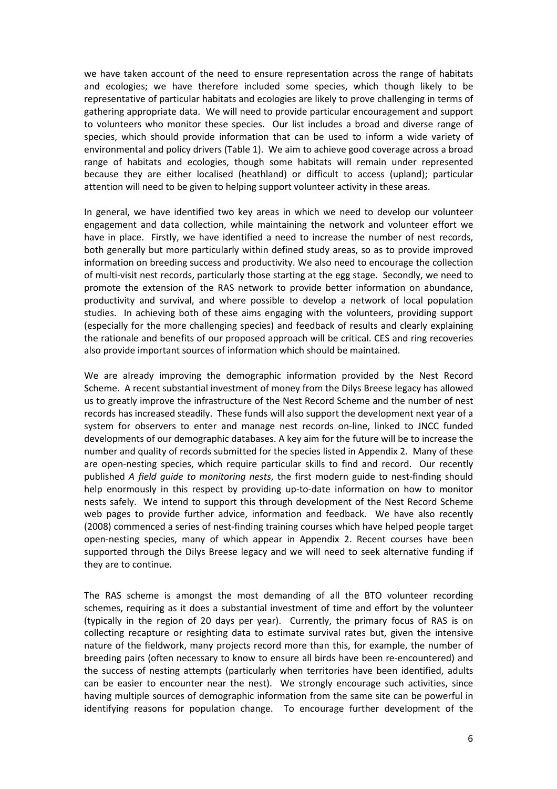we have taken account of the need to ensure representation across the range of habitats and ecologies; we have therefore included some species, which though likely to be representative of particular habitats and ecologies are likely to prove challenging in terms of gathering appropriate data. We will need to provide particular encouragement and support to volunteers who monitor these species. Our list includes a broad and diverse range of species, which should provide information that can be used to inform a wide variety of environmental and policy drivers (Table 1). We aim to achieve good coverage across a broad range of habitats and ecologies, though some habitats will remain under represented because they are either localised (heathland) or difficult to access (upland); particular attention will need to be given to helping support volunteer activity in these areas.

In general, we have identified two key areas in which we need to develop our volunteer engagement and data collection, while maintaining the network and volunteer effort we have in place. Firstly, we have identified a need to increase the number of nest records, both generally but more particularly within defined study areas, so as to provide improved information on breeding success and productivity. We also need to encourage the collection of multi-visit nest records, particularly those starting at the egg stage. Secondly, we need to promote the extension of the RAS network to provide better information on abundance, productivity and survival, and where possible to develop a network of local population studies. In achieving both of these aims engaging with the volunteers, providing support (especially for the more challenging species) and feedback of results and clearly explaining the rationale and benefits of our proposed approach will be critical. CES and ring recoveries also provide important sources of information which should be maintained.

We are already improving the demographic information provided by the Nest Record Scheme. A recent substantial investment of money from the Dilys Breese legacy has allowed us to greatly improve the infrastructure of the Nest Record Scheme and the number of nest records has increased steadily. These funds will also support the development next year of a system for observers to enter and manage nest records on-line, linked to JNCC funded developments of our demographic databases. A key aim for the future will be to increase the number and quality of records submitted for the species listed in Appendix 2. Many of these are open-nesting species, which require particular skills to find and record. Our recently published *A field guide to monitoring nests*, the first modern guide to nest-finding should help enormously in this respect by providing up-to-date information on how to monitor nests safely. We intend to support this through development of the Nest Record Scheme web pages to provide further advice, information and feedback. We have also recently (2008) commenced a series of nest-finding training courses which have helped people target open-nesting species, many of which appear in Appendix 2. Recent courses have been supported through the Dilys Breese legacy and we will need to seek alternative funding if they are to continue.

The RAS scheme is amongst the most demanding of all the BTO volunteer recording schemes, requiring as it does a substantial investment of time and effort by the volunteer (typically in the region of 20 days per year). Currently, the primary focus of RAS is on collecting recapture or resighting data to estimate survival rates but, given the intensive nature of the fieldwork, many projects record more than this, for example, the number of breeding pairs (often necessary to know to ensure all birds have been re-encountered) and the success of nesting attempts (particularly when territories have been identified, adults can be easier to encounter near the nest). We strongly encourage such activities, since having multiple sources of demographic information from the same site can be powerful in identifying reasons for population change. To encourage further development of the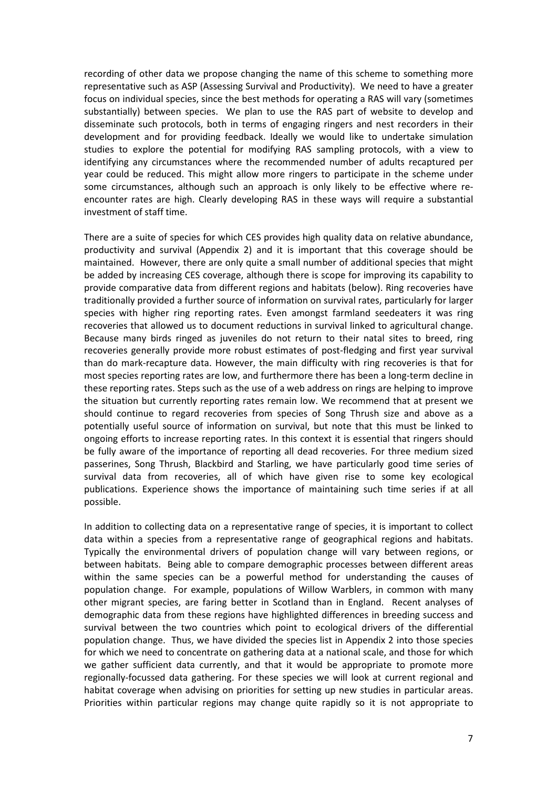recording of other data we propose changing the name of this scheme to something more representative such as ASP (Assessing Survival and Productivity). We need to have a greater focus on individual species, since the best methods for operating a RAS will vary (sometimes substantially) between species. We plan to use the RAS part of website to develop and disseminate such protocols, both in terms of engaging ringers and nest recorders in their development and for providing feedback. Ideally we would like to undertake simulation studies to explore the potential for modifying RAS sampling protocols, with a view to identifying any circumstances where the recommended number of adults recaptured per year could be reduced. This might allow more ringers to participate in the scheme under some circumstances, although such an approach is only likely to be effective where reencounter rates are high. Clearly developing RAS in these ways will require a substantial investment of staff time.

There are a suite of species for which CES provides high quality data on relative abundance, productivity and survival (Appendix 2) and it is important that this coverage should be maintained. However, there are only quite a small number of additional species that might be added by increasing CES coverage, although there is scope for improving its capability to provide comparative data from different regions and habitats (below). Ring recoveries have traditionally provided a further source of information on survival rates, particularly for larger species with higher ring reporting rates. Even amongst farmland seedeaters it was ring recoveries that allowed us to document reductions in survival linked to agricultural change. Because many birds ringed as juveniles do not return to their natal sites to breed, ring recoveries generally provide more robust estimates of post-fledging and first year survival than do mark-recapture data. However, the main difficulty with ring recoveries is that for most species reporting rates are low, and furthermore there has been a long-term decline in these reporting rates. Steps such as the use of a web address on rings are helping to improve the situation but currently reporting rates remain low. We recommend that at present we should continue to regard recoveries from species of Song Thrush size and above as a potentially useful source of information on survival, but note that this must be linked to ongoing efforts to increase reporting rates. In this context it is essential that ringers should be fully aware of the importance of reporting all dead recoveries. For three medium sized passerines, Song Thrush, Blackbird and Starling, we have particularly good time series of survival data from recoveries, all of which have given rise to some key ecological publications. Experience shows the importance of maintaining such time series if at all possible.

In addition to collecting data on a representative range of species, it is important to collect data within a species from a representative range of geographical regions and habitats. Typically the environmental drivers of population change will vary between regions, or between habitats. Being able to compare demographic processes between different areas within the same species can be a powerful method for understanding the causes of population change. For example, populations of Willow Warblers, in common with many other migrant species, are faring better in Scotland than in England. Recent analyses of demographic data from these regions have highlighted differences in breeding success and survival between the two countries which point to ecological drivers of the differential population change. Thus, we have divided the species list in Appendix 2 into those species for which we need to concentrate on gathering data at a national scale, and those for which we gather sufficient data currently, and that it would be appropriate to promote more regionally-focussed data gathering. For these species we will look at current regional and habitat coverage when advising on priorities for setting up new studies in particular areas. Priorities within particular regions may change quite rapidly so it is not appropriate to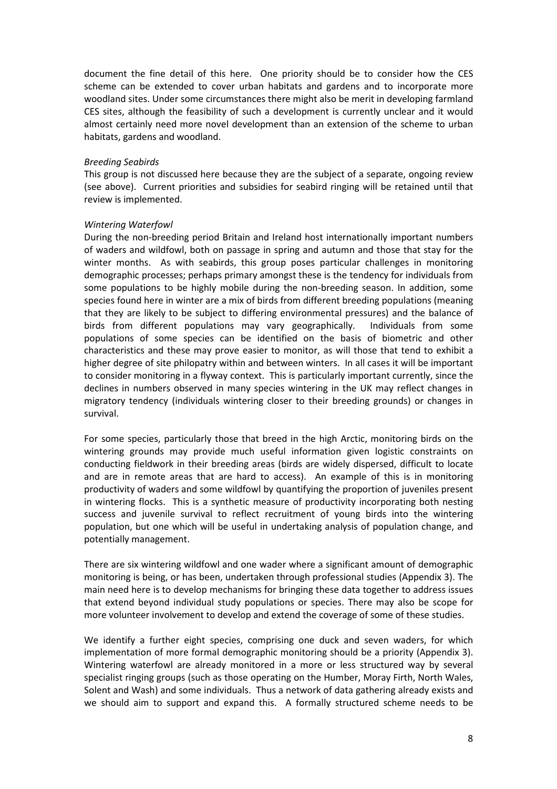document the fine detail of this here. One priority should be to consider how the CES scheme can be extended to cover urban habitats and gardens and to incorporate more woodland sites. Under some circumstances there might also be merit in developing farmland CES sites, although the feasibility of such a development is currently unclear and it would almost certainly need more novel development than an extension of the scheme to urban habitats, gardens and woodland.

#### *Breeding Seabirds*

This group is not discussed here because they are the subject of a separate, ongoing review (see above). Current priorities and subsidies for seabird ringing will be retained until that review is implemented.

#### *Wintering Waterfowl*

During the non-breeding period Britain and Ireland host internationally important numbers of waders and wildfowl, both on passage in spring and autumn and those that stay for the winter months. As with seabirds, this group poses particular challenges in monitoring demographic processes; perhaps primary amongst these is the tendency for individuals from some populations to be highly mobile during the non-breeding season. In addition, some species found here in winter are a mix of birds from different breeding populations (meaning that they are likely to be subject to differing environmental pressures) and the balance of birds from different populations may vary geographically. Individuals from some populations of some species can be identified on the basis of biometric and other characteristics and these may prove easier to monitor, as will those that tend to exhibit a higher degree of site philopatry within and between winters. In all cases it will be important to consider monitoring in a flyway context. This is particularly important currently, since the declines in numbers observed in many species wintering in the UK may reflect changes in migratory tendency (individuals wintering closer to their breeding grounds) or changes in survival.

For some species, particularly those that breed in the high Arctic, monitoring birds on the wintering grounds may provide much useful information given logistic constraints on conducting fieldwork in their breeding areas (birds are widely dispersed, difficult to locate and are in remote areas that are hard to access). An example of this is in monitoring productivity of waders and some wildfowl by quantifying the proportion of juveniles present in wintering flocks. This is a synthetic measure of productivity incorporating both nesting success and juvenile survival to reflect recruitment of young birds into the wintering population, but one which will be useful in undertaking analysis of population change, and potentially management.

There are six wintering wildfowl and one wader where a significant amount of demographic monitoring is being, or has been, undertaken through professional studies (Appendix 3). The main need here is to develop mechanisms for bringing these data together to address issues that extend beyond individual study populations or species. There may also be scope for more volunteer involvement to develop and extend the coverage of some of these studies.

We identify a further eight species, comprising one duck and seven waders, for which implementation of more formal demographic monitoring should be a priority (Appendix 3). Wintering waterfowl are already monitored in a more or less structured way by several specialist ringing groups (such as those operating on the Humber, Moray Firth, North Wales, Solent and Wash) and some individuals. Thus a network of data gathering already exists and we should aim to support and expand this. A formally structured scheme needs to be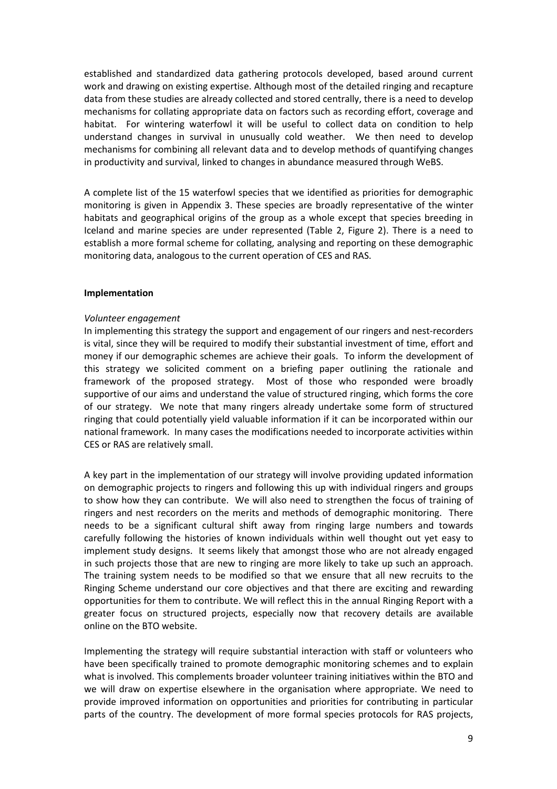established and standardized data gathering protocols developed, based around current work and drawing on existing expertise. Although most of the detailed ringing and recapture data from these studies are already collected and stored centrally, there is a need to develop mechanisms for collating appropriate data on factors such as recording effort, coverage and habitat. For wintering waterfowl it will be useful to collect data on condition to help understand changes in survival in unusually cold weather. We then need to develop mechanisms for combining all relevant data and to develop methods of quantifying changes in productivity and survival, linked to changes in abundance measured through WeBS.

A complete list of the 15 waterfowl species that we identified as priorities for demographic monitoring is given in Appendix 3. These species are broadly representative of the winter habitats and geographical origins of the group as a whole except that species breeding in Iceland and marine species are under represented (Table 2, Figure 2). There is a need to establish a more formal scheme for collating, analysing and reporting on these demographic monitoring data, analogous to the current operation of CES and RAS.

#### **Implementation**

#### *Volunteer engagement*

In implementing this strategy the support and engagement of our ringers and nest-recorders is vital, since they will be required to modify their substantial investment of time, effort and money if our demographic schemes are achieve their goals. To inform the development of this strategy we solicited comment on a briefing paper outlining the rationale and framework of the proposed strategy. Most of those who responded were broadly supportive of our aims and understand the value of structured ringing, which forms the core of our strategy. We note that many ringers already undertake some form of structured ringing that could potentially yield valuable information if it can be incorporated within our national framework. In many cases the modifications needed to incorporate activities within CES or RAS are relatively small.

A key part in the implementation of our strategy will involve providing updated information on demographic projects to ringers and following this up with individual ringers and groups to show how they can contribute. We will also need to strengthen the focus of training of ringers and nest recorders on the merits and methods of demographic monitoring. There needs to be a significant cultural shift away from ringing large numbers and towards carefully following the histories of known individuals within well thought out yet easy to implement study designs. It seems likely that amongst those who are not already engaged in such projects those that are new to ringing are more likely to take up such an approach. The training system needs to be modified so that we ensure that all new recruits to the Ringing Scheme understand our core objectives and that there are exciting and rewarding opportunities for them to contribute. We will reflect this in the annual Ringing Report with a greater focus on structured projects, especially now that recovery details are available online on the BTO website.

Implementing the strategy will require substantial interaction with staff or volunteers who have been specifically trained to promote demographic monitoring schemes and to explain what is involved. This complements broader volunteer training initiatives within the BTO and we will draw on expertise elsewhere in the organisation where appropriate. We need to provide improved information on opportunities and priorities for contributing in particular parts of the country. The development of more formal species protocols for RAS projects,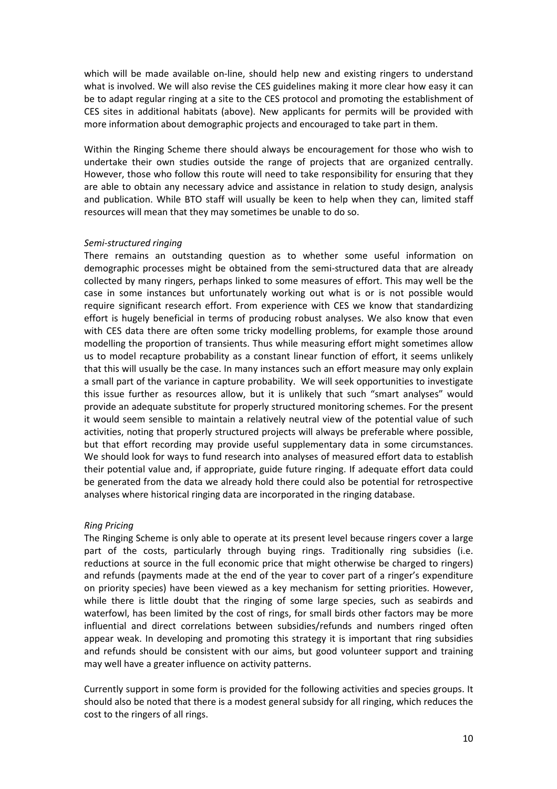which will be made available on-line, should help new and existing ringers to understand what is involved. We will also revise the CES guidelines making it more clear how easy it can be to adapt regular ringing at a site to the CES protocol and promoting the establishment of CES sites in additional habitats (above). New applicants for permits will be provided with more information about demographic projects and encouraged to take part in them.

Within the Ringing Scheme there should always be encouragement for those who wish to undertake their own studies outside the range of projects that are organized centrally. However, those who follow this route will need to take responsibility for ensuring that they are able to obtain any necessary advice and assistance in relation to study design, analysis and publication. While BTO staff will usually be keen to help when they can, limited staff resources will mean that they may sometimes be unable to do so.

#### *Semi-structured ringing*

There remains an outstanding question as to whether some useful information on demographic processes might be obtained from the semi-structured data that are already collected by many ringers, perhaps linked to some measures of effort. This may well be the case in some instances but unfortunately working out what is or is not possible would require significant research effort. From experience with CES we know that standardizing effort is hugely beneficial in terms of producing robust analyses. We also know that even with CES data there are often some tricky modelling problems, for example those around modelling the proportion of transients. Thus while measuring effort might sometimes allow us to model recapture probability as a constant linear function of effort, it seems unlikely that this will usually be the case. In many instances such an effort measure may only explain a small part of the variance in capture probability. We will seek opportunities to investigate this issue further as resources allow, but it is unlikely that such "smart analyses" would provide an adequate substitute for properly structured monitoring schemes. For the present it would seem sensible to maintain a relatively neutral view of the potential value of such activities, noting that properly structured projects will always be preferable where possible, but that effort recording may provide useful supplementary data in some circumstances. We should look for ways to fund research into analyses of measured effort data to establish their potential value and, if appropriate, guide future ringing. If adequate effort data could be generated from the data we already hold there could also be potential for retrospective analyses where historical ringing data are incorporated in the ringing database.

### *Ring Pricing*

The Ringing Scheme is only able to operate at its present level because ringers cover a large part of the costs, particularly through buying rings. Traditionally ring subsidies (i.e. reductions at source in the full economic price that might otherwise be charged to ringers) and refunds (payments made at the end of the year to cover part of a ringer's expenditure on priority species) have been viewed as a key mechanism for setting priorities. However, while there is little doubt that the ringing of some large species, such as seabirds and waterfowl, has been limited by the cost of rings, for small birds other factors may be more influential and direct correlations between subsidies/refunds and numbers ringed often appear weak. In developing and promoting this strategy it is important that ring subsidies and refunds should be consistent with our aims, but good volunteer support and training may well have a greater influence on activity patterns.

Currently support in some form is provided for the following activities and species groups. It should also be noted that there is a modest general subsidy for all ringing, which reduces the cost to the ringers of all rings.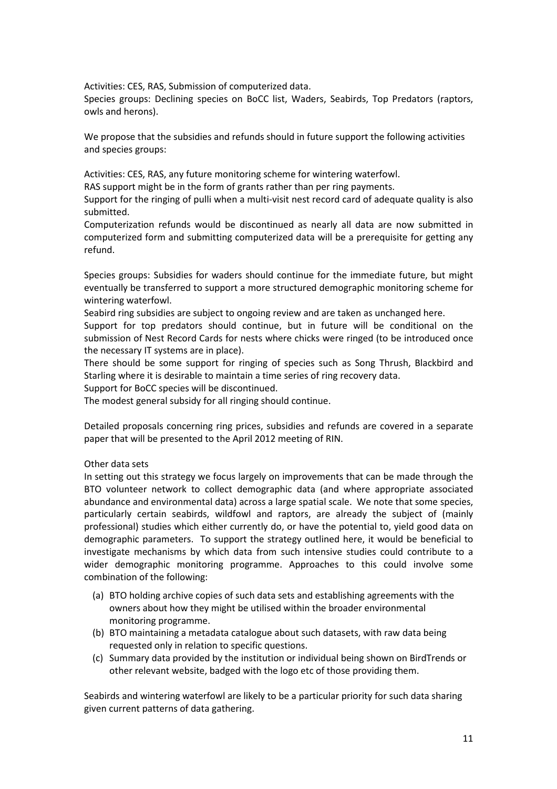Activities: CES, RAS, Submission of computerized data.

Species groups: Declining species on BoCC list, Waders, Seabirds, Top Predators (raptors, owls and herons).

We propose that the subsidies and refunds should in future support the following activities and species groups:

Activities: CES, RAS, any future monitoring scheme for wintering waterfowl.

RAS support might be in the form of grants rather than per ring payments.

Support for the ringing of pulli when a multi-visit nest record card of adequate quality is also submitted.

Computerization refunds would be discontinued as nearly all data are now submitted in computerized form and submitting computerized data will be a prerequisite for getting any refund.

Species groups: Subsidies for waders should continue for the immediate future, but might eventually be transferred to support a more structured demographic monitoring scheme for wintering waterfowl.

Seabird ring subsidies are subject to ongoing review and are taken as unchanged here.

Support for top predators should continue, but in future will be conditional on the submission of Nest Record Cards for nests where chicks were ringed (to be introduced once the necessary IT systems are in place).

There should be some support for ringing of species such as Song Thrush, Blackbird and Starling where it is desirable to maintain a time series of ring recovery data.

Support for BoCC species will be discontinued.

The modest general subsidy for all ringing should continue.

Detailed proposals concerning ring prices, subsidies and refunds are covered in a separate paper that will be presented to the April 2012 meeting of RIN.

### Other data sets

In setting out this strategy we focus largely on improvements that can be made through the BTO volunteer network to collect demographic data (and where appropriate associated abundance and environmental data) across a large spatial scale. We note that some species, particularly certain seabirds, wildfowl and raptors, are already the subject of (mainly professional) studies which either currently do, or have the potential to, yield good data on demographic parameters. To support the strategy outlined here, it would be beneficial to investigate mechanisms by which data from such intensive studies could contribute to a wider demographic monitoring programme. Approaches to this could involve some combination of the following:

- (a) BTO holding archive copies of such data sets and establishing agreements with the owners about how they might be utilised within the broader environmental monitoring programme.
- (b) BTO maintaining a metadata catalogue about such datasets, with raw data being requested only in relation to specific questions.
- (c) Summary data provided by the institution or individual being shown on BirdTrends or other relevant website, badged with the logo etc of those providing them.

Seabirds and wintering waterfowl are likely to be a particular priority for such data sharing given current patterns of data gathering.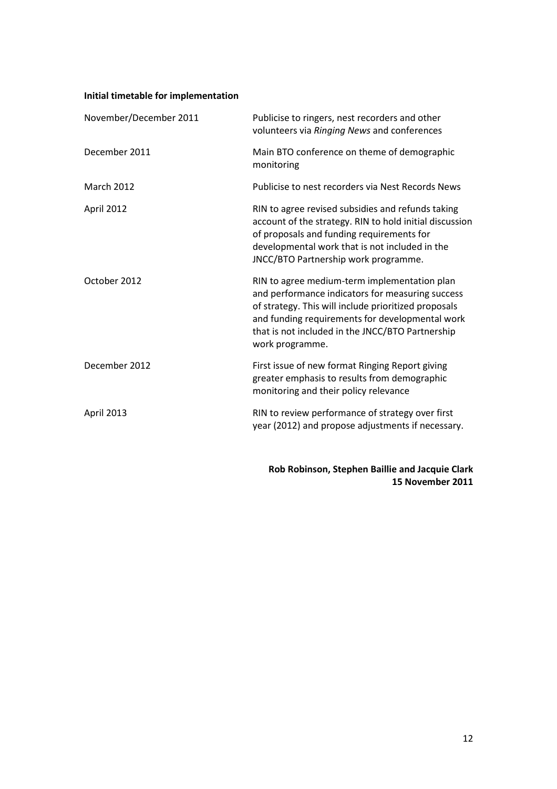# **Initial timetable for implementation**

| Publicise to ringers, nest recorders and other<br>volunteers via Ringing News and conferences                                                                                                                                                                                      |
|------------------------------------------------------------------------------------------------------------------------------------------------------------------------------------------------------------------------------------------------------------------------------------|
| Main BTO conference on theme of demographic<br>monitoring                                                                                                                                                                                                                          |
| Publicise to nest recorders via Nest Records News                                                                                                                                                                                                                                  |
| RIN to agree revised subsidies and refunds taking<br>account of the strategy. RIN to hold initial discussion<br>of proposals and funding requirements for<br>developmental work that is not included in the<br>JNCC/BTO Partnership work programme.                                |
| RIN to agree medium-term implementation plan<br>and performance indicators for measuring success<br>of strategy. This will include prioritized proposals<br>and funding requirements for developmental work<br>that is not included in the JNCC/BTO Partnership<br>work programme. |
| First issue of new format Ringing Report giving<br>greater emphasis to results from demographic<br>monitoring and their policy relevance                                                                                                                                           |
| RIN to review performance of strategy over first<br>year (2012) and propose adjustments if necessary.                                                                                                                                                                              |
|                                                                                                                                                                                                                                                                                    |

**Rob Robinson, Stephen Baillie and Jacquie Clark 15 November 2011**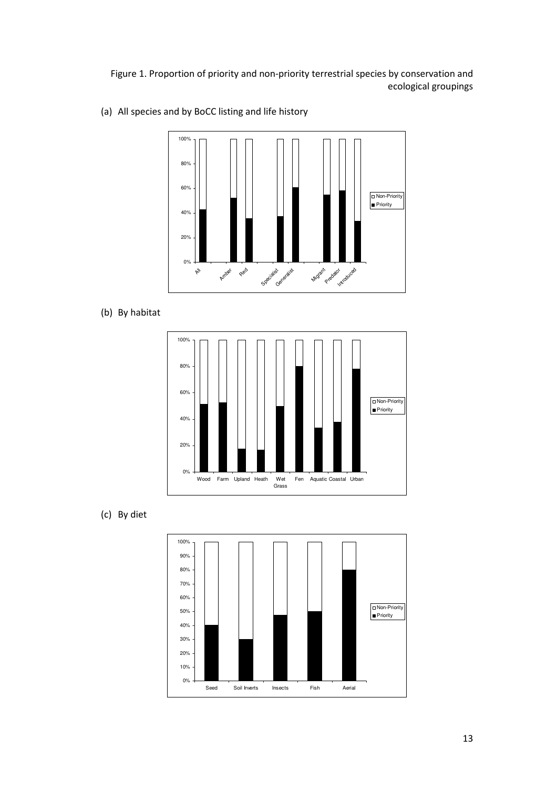Figure 1. Proportion of priority and non-priority terrestrial species by conservation and ecological groupings



(a) All species and by BoCC listing and life history

(b) By habitat



(c) By diet

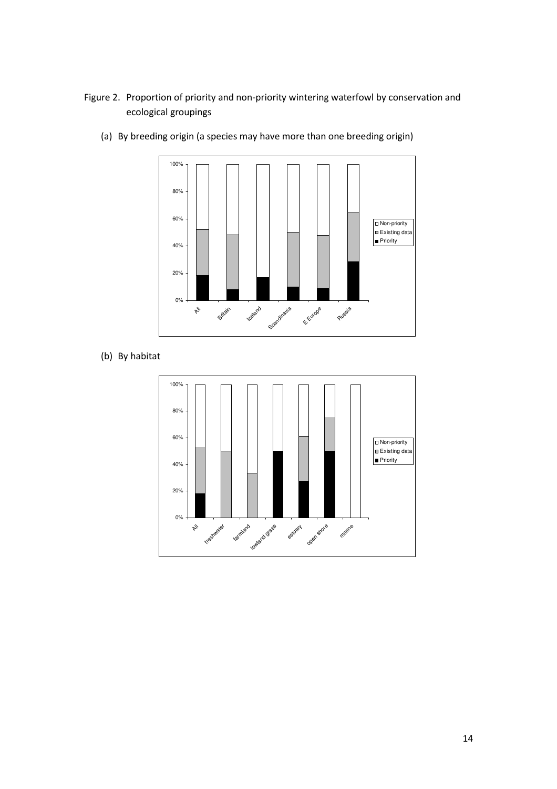# Figure 2. Proportion of priority and non-priority wintering waterfowl by conservation and ecological groupings



(a) By breeding origin (a species may have more than one breeding origin)

(b) By habitat

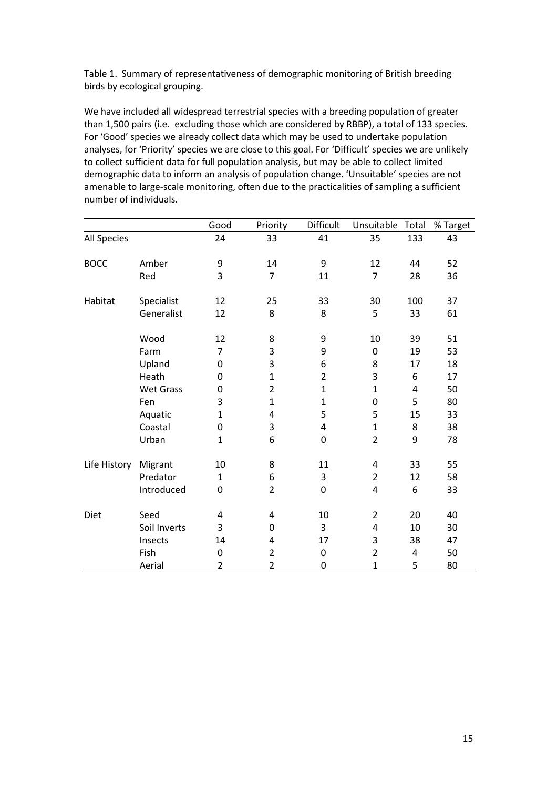Table 1. Summary of representativeness of demographic monitoring of British breeding birds by ecological grouping.

We have included all widespread terrestrial species with a breeding population of greater than 1,500 pairs (i.e. excluding those which are considered by RBBP), a total of 133 species. For 'Good' species we already collect data which may be used to undertake population analyses, for 'Priority' species we are close to this goal. For 'Difficult' species we are unlikely to collect sufficient data for full population analysis, but may be able to collect limited demographic data to inform an analysis of population change. 'Unsuitable' species are not amenable to large-scale monitoring, often due to the practicalities of sampling a sufficient number of individuals.

|                    |                  | Good             | Priority       | Difficult        | Unsuitable Total        |     | % Target |
|--------------------|------------------|------------------|----------------|------------------|-------------------------|-----|----------|
| <b>All Species</b> |                  | 24               | 33             | 41               | 35                      | 133 | 43       |
| <b>BOCC</b>        | Amber            | 9                | 14             | 9                | 12                      | 44  | 52       |
|                    | Red              | 3                | 7              | 11               | $\overline{7}$          | 28  | 36       |
| Habitat            | Specialist       | 12               | 25             | 33               | 30                      | 100 | 37       |
|                    | Generalist       | 12               | 8              | 8                | 5                       | 33  | 61       |
|                    | Wood             | 12               | 8              | 9                | 10                      | 39  | 51       |
|                    | Farm             | $\overline{7}$   | 3              | 9                | $\mathbf 0$             | 19  | 53       |
|                    | Upland           | 0                | 3              | 6                | 8                       | 17  | 18       |
|                    | Heath            | 0                | $\mathbf{1}$   | $\overline{2}$   | 3                       | 6   | 17       |
|                    | <b>Wet Grass</b> | $\boldsymbol{0}$ | $\overline{2}$ | $\mathbf 1$      | $\mathbf{1}$            | 4   | 50       |
|                    | Fen              | 3                | $\mathbf{1}$   | $\mathbf{1}$     | $\mathbf 0$             | 5   | 80       |
|                    | Aquatic          | $\mathbf{1}$     | 4              | 5                | 5                       | 15  | 33       |
|                    | Coastal          | $\boldsymbol{0}$ | 3              | 4                | $\mathbf{1}$            | 8   | 38       |
|                    | Urban            | $\mathbf{1}$     | 6              | $\boldsymbol{0}$ | $\overline{2}$          | 9   | 78       |
| Life History       | Migrant          | 10               | 8              | 11               | $\overline{\mathbf{4}}$ | 33  | 55       |
|                    | Predator         | $\mathbf{1}$     | 6              | 3                | $\overline{2}$          | 12  | 58       |
|                    | Introduced       | 0                | $\overline{2}$ | $\boldsymbol{0}$ | 4                       | 6   | 33       |
| Diet               | Seed             | 4                | 4              | 10               | $\overline{2}$          | 20  | 40       |
|                    | Soil Inverts     | 3                | 0              | 3                | 4                       | 10  | 30       |
|                    | Insects          | 14               | 4              | 17               | 3                       | 38  | 47       |
|                    | Fish             | $\mathbf 0$      | $\overline{2}$ | $\mathbf 0$      | $\overline{2}$          | 4   | 50       |
|                    | Aerial           | $\overline{2}$   | $\overline{2}$ | 0                | $\mathbf 1$             | 5   | 80       |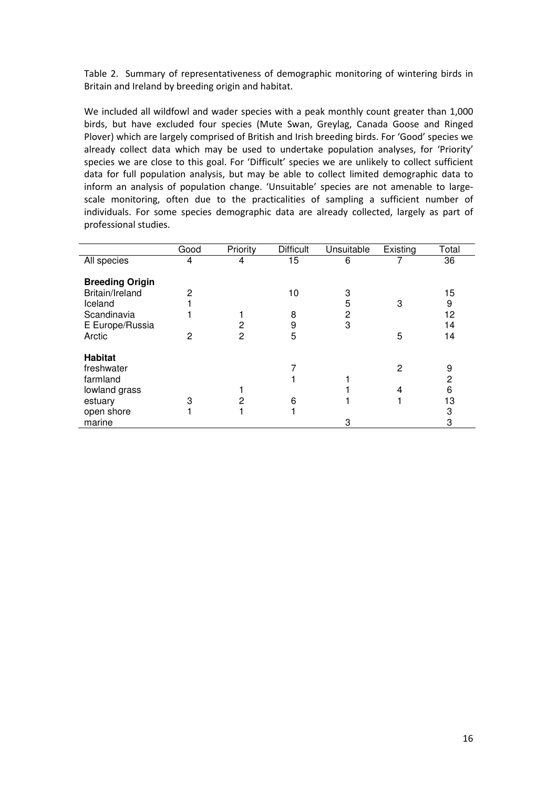Table 2. Summary of representativeness of demographic monitoring of wintering birds in Britain and Ireland by breeding origin and habitat.

We included all wildfowl and wader species with a peak monthly count greater than 1,000 birds, but have excluded four species (Mute Swan, Greylag, Canada Goose and Ringed Plover) which are largely comprised of British and Irish breeding birds. For 'Good' species we already collect data which may be used to undertake population analyses, for 'Priority' species we are close to this goal. For 'Difficult' species we are unlikely to collect sufficient data for full population analysis, but may be able to collect limited demographic data to inform an analysis of population change. 'Unsuitable' species are not amenable to largescale monitoring, often due to the practicalities of sampling a sufficient number of individuals. For some species demographic data are already collected, largely as part of professional studies.

|                        | Good | Priority | <b>Difficult</b> | Unsuitable | Existing | Total |
|------------------------|------|----------|------------------|------------|----------|-------|
| All species            | 4    | 4        | 15               | 6          |          | 36    |
|                        |      |          |                  |            |          |       |
| <b>Breeding Origin</b> |      |          |                  |            |          |       |
| Britain/Ireland        | 2    |          | 10               | 3          |          | 15    |
| Iceland                |      |          |                  | 5          | 3        | 9     |
| Scandinavia            |      |          | 8                | 2          |          | 12    |
| E Europe/Russia        |      | 2        | 9                | 3          |          | 14    |
| Arctic                 | 2    | 2        | 5                |            | 5        | 14    |
|                        |      |          |                  |            |          |       |
| <b>Habitat</b>         |      |          |                  |            |          |       |
| freshwater             |      |          |                  |            | 2        | 9     |
|                        |      |          |                  |            |          |       |
| farmland               |      |          |                  |            |          | 2     |
| lowland grass          |      |          |                  |            |          | 6     |
| estuary                | 3    | 2        | 6                |            |          | 13    |
| open shore             |      |          |                  |            |          | 3     |
| marine                 |      |          |                  | 3          |          | 3     |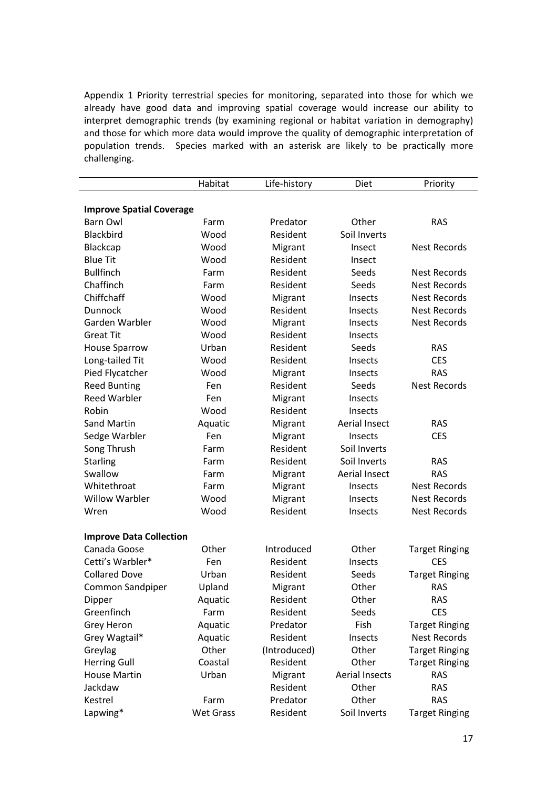Appendix 1 Priority terrestrial species for monitoring, separated into those for which we already have good data and improving spatial coverage would increase our ability to interpret demographic trends (by examining regional or habitat variation in demography) and those for which more data would improve the quality of demographic interpretation of population trends. Species marked with an asterisk are likely to be practically more challenging.

|                                 | Habitat          | Life-history | Diet                  | Priority              |
|---------------------------------|------------------|--------------|-----------------------|-----------------------|
|                                 |                  |              |                       |                       |
| <b>Improve Spatial Coverage</b> |                  |              |                       |                       |
| <b>Barn Owl</b>                 | Farm             | Predator     | Other                 | <b>RAS</b>            |
| Blackbird                       | Wood             | Resident     | Soil Inverts          |                       |
| Blackcap                        | Wood             | Migrant      | Insect                | <b>Nest Records</b>   |
| <b>Blue Tit</b>                 | Wood             | Resident     | Insect                |                       |
| <b>Bullfinch</b>                | Farm             | Resident     | Seeds                 | <b>Nest Records</b>   |
| Chaffinch                       | Farm             | Resident     | Seeds                 | <b>Nest Records</b>   |
| Chiffchaff                      | Wood             | Migrant      | Insects               | <b>Nest Records</b>   |
| Dunnock                         | Wood             | Resident     | Insects               | <b>Nest Records</b>   |
| Garden Warbler                  | Wood             | Migrant      | Insects               | <b>Nest Records</b>   |
| <b>Great Tit</b>                | Wood             | Resident     | Insects               |                       |
| <b>House Sparrow</b>            | Urban            | Resident     | Seeds                 | <b>RAS</b>            |
| Long-tailed Tit                 | Wood             | Resident     | Insects               | <b>CES</b>            |
| Pied Flycatcher                 | Wood             | Migrant      | Insects               | <b>RAS</b>            |
| <b>Reed Bunting</b>             | Fen              | Resident     | Seeds                 | <b>Nest Records</b>   |
| <b>Reed Warbler</b>             | Fen              | Migrant      | Insects               |                       |
| Robin                           | Wood             | Resident     | Insects               |                       |
| <b>Sand Martin</b>              | Aquatic          | Migrant      | <b>Aerial Insect</b>  | <b>RAS</b>            |
| Sedge Warbler                   | Fen              | Migrant      | Insects               | <b>CES</b>            |
| Song Thrush                     | Farm             | Resident     | Soil Inverts          |                       |
| <b>Starling</b>                 | Farm             | Resident     | Soil Inverts          | <b>RAS</b>            |
| Swallow                         | Farm             | Migrant      | Aerial Insect         | <b>RAS</b>            |
| Whitethroat                     | Farm             | Migrant      | Insects               | <b>Nest Records</b>   |
| <b>Willow Warbler</b>           | Wood             | Migrant      | Insects               | <b>Nest Records</b>   |
| Wren                            | Wood             | Resident     | Insects               | <b>Nest Records</b>   |
|                                 |                  |              |                       |                       |
| <b>Improve Data Collection</b>  |                  |              |                       |                       |
| Canada Goose                    | Other            | Introduced   | Other                 | <b>Target Ringing</b> |
| Cetti's Warbler*                | Fen              | Resident     | Insects               | <b>CES</b>            |
| <b>Collared Dove</b>            | Urban            | Resident     | Seeds                 | <b>Target Ringing</b> |
| Common Sandpiper                | Upland           | Migrant      | Other                 | <b>RAS</b>            |
| Dipper                          | Aquatic          | Resident     | Other                 | <b>RAS</b>            |
| Greenfinch                      | Farm             | Resident     | Seeds                 | <b>CES</b>            |
| Grey Heron                      | Aquatic          | Predator     | Fish                  | <b>Target Ringing</b> |
| Grey Wagtail*                   | Aquatic          | Resident     | Insects               | <b>Nest Records</b>   |
| Greylag                         | Other            | (Introduced) | Other                 | <b>Target Ringing</b> |
| <b>Herring Gull</b>             | Coastal          | Resident     | Other                 | <b>Target Ringing</b> |
| <b>House Martin</b>             | Urban            | Migrant      | <b>Aerial Insects</b> | <b>RAS</b>            |
| Jackdaw                         |                  | Resident     | Other                 | <b>RAS</b>            |
| Kestrel                         | Farm             | Predator     | Other                 | <b>RAS</b>            |
| Lapwing*                        | <b>Wet Grass</b> | Resident     | Soil Inverts          | <b>Target Ringing</b> |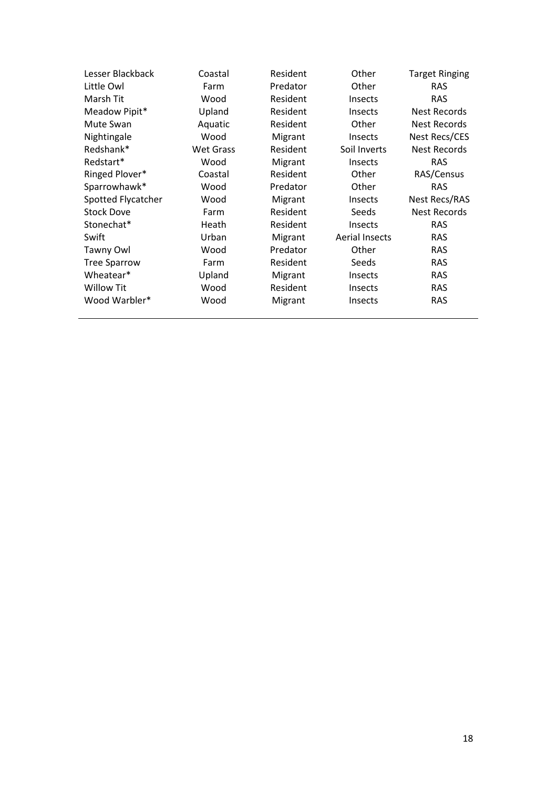| Lesser Blackback    | Coastal          | Resident | Other                 | <b>Target Ringing</b> |
|---------------------|------------------|----------|-----------------------|-----------------------|
| Little Owl          | Farm             | Predator | Other                 | <b>RAS</b>            |
| Marsh Tit           | Wood             | Resident | <b>Insects</b>        | <b>RAS</b>            |
| Meadow Pipit*       | Upland           | Resident | Insects               | Nest Records          |
| Mute Swan           | Aquatic          | Resident | Other                 | <b>Nest Records</b>   |
| Nightingale         | Wood             | Migrant  | Insects               | Nest Recs/CES         |
| Redshank*           | <b>Wet Grass</b> | Resident | Soil Inverts          | <b>Nest Records</b>   |
| Redstart*           | Wood             | Migrant  | <b>Insects</b>        | <b>RAS</b>            |
| Ringed Plover*      | Coastal          | Resident | Other                 | RAS/Census            |
| Sparrowhawk*        | Wood             | Predator | Other                 | <b>RAS</b>            |
| Spotted Flycatcher  | Wood             | Migrant  | <b>Insects</b>        | Nest Recs/RAS         |
| <b>Stock Dove</b>   | Farm             | Resident | Seeds                 | <b>Nest Records</b>   |
| Stonechat*          | Heath            | Resident | <b>Insects</b>        | <b>RAS</b>            |
| Swift               | Urban            | Migrant  | <b>Aerial Insects</b> | <b>RAS</b>            |
| Tawny Owl           | Wood             | Predator | Other                 | <b>RAS</b>            |
| <b>Tree Sparrow</b> | Farm             | Resident | Seeds                 | <b>RAS</b>            |
| Wheatear*           | Upland           | Migrant  | <b>Insects</b>        | <b>RAS</b>            |
| <b>Willow Tit</b>   | Wood             | Resident | <b>Insects</b>        | <b>RAS</b>            |
| Wood Warbler*       | Wood             | Migrant  | Insects               | <b>RAS</b>            |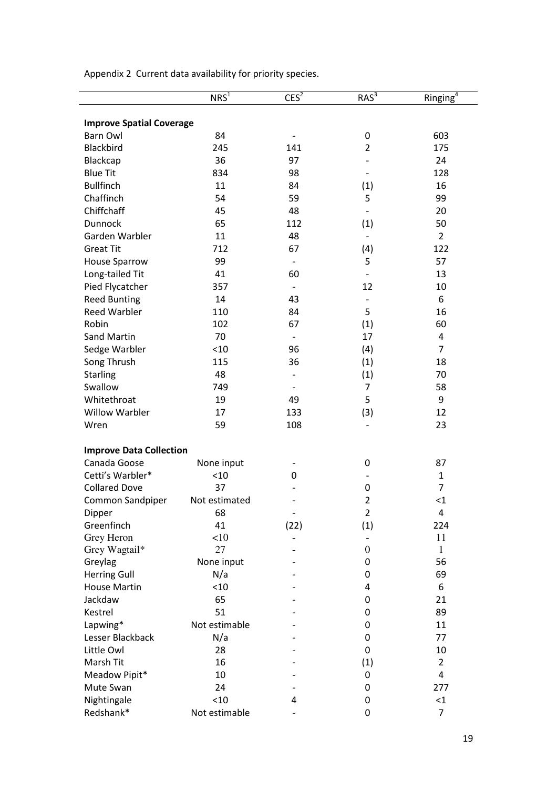|                                 | NRS <sup>1</sup> | CES <sup>2</sup>         | $RAS^3$           | Ringing <sup>4</sup>    |
|---------------------------------|------------------|--------------------------|-------------------|-------------------------|
| <b>Improve Spatial Coverage</b> |                  |                          |                   |                         |
| <b>Barn Owl</b>                 | 84               |                          | 0                 | 603                     |
| Blackbird                       | 245              | 141                      | $\overline{2}$    | 175                     |
| Blackcap                        | 36               | 97                       |                   | 24                      |
| <b>Blue Tit</b>                 | 834              | 98                       |                   | 128                     |
| <b>Bullfinch</b>                | 11               | 84                       | (1)               | 16                      |
| Chaffinch                       | 54               | 59                       | 5                 | 99                      |
| Chiffchaff                      | 45               | 48                       | $\qquad \qquad -$ | 20                      |
| Dunnock                         | 65               | 112                      | (1)               | 50                      |
| Garden Warbler                  | 11               | 48                       |                   | $\overline{2}$          |
| <b>Great Tit</b>                | 712              | 67                       | (4)               | 122                     |
| <b>House Sparrow</b>            | 99               | $\overline{\phantom{a}}$ | 5                 | 57                      |
| Long-tailed Tit                 | 41               | 60                       |                   | 13                      |
| Pied Flycatcher                 | 357              | $\overline{\phantom{a}}$ | 12                | 10                      |
| <b>Reed Bunting</b>             | 14               | 43                       |                   | 6                       |
| <b>Reed Warbler</b>             | 110              | 84                       | 5                 | 16                      |
| Robin                           | 102              | 67                       | (1)               | 60                      |
| <b>Sand Martin</b>              | 70               |                          | 17                | $\pmb{4}$               |
| Sedge Warbler                   | < 10             | 96                       | (4)               | $\overline{7}$          |
| Song Thrush                     | 115              | 36                       | (1)               | 18                      |
| <b>Starling</b>                 | 48               |                          | (1)               | 70                      |
| Swallow                         | 749              |                          | 7                 | 58                      |
| Whitethroat                     | 19               | 49                       | 5                 | $\boldsymbol{9}$        |
| <b>Willow Warbler</b>           | 17               | 133                      | (3)               | 12                      |
| Wren                            | 59               | 108                      |                   | 23                      |
| <b>Improve Data Collection</b>  |                  |                          |                   |                         |
| Canada Goose                    | None input       |                          | 0                 | 87                      |
| Cetti's Warbler*                | < 10             | 0                        |                   | $\mathbf{1}$            |
| <b>Collared Dove</b>            | 37               |                          | 0                 | $\overline{7}$          |
| Common Sandpiper                | Not estimated    |                          | $\overline{2}$    | $\leq$ 1                |
| Dipper                          | 68               |                          | $\overline{2}$    | 4                       |
| Greenfinch                      | 41               | (22)                     | (1)               | 224                     |
| Grey Heron                      | <10              |                          |                   | 11                      |
| Grey Wagtail*                   | 27               |                          | $\overline{0}$    | $\mathbf{1}$            |
| Greylag                         | None input       |                          | 0                 | 56                      |
| <b>Herring Gull</b>             | N/a              |                          | 0                 | 69                      |
| <b>House Martin</b>             | < 10             |                          | 4                 | 6                       |
| Jackdaw                         | 65               |                          | 0                 | 21                      |
| Kestrel                         | 51               |                          | 0                 | 89                      |
| Lapwing*                        | Not estimable    |                          | 0                 | 11                      |
| Lesser Blackback                | N/a              |                          | 0                 | 77                      |
| Little Owl                      | 28               |                          | 0                 | 10                      |
| Marsh Tit                       | 16               |                          | (1)               | $\overline{2}$          |
| Meadow Pipit*                   | 10               |                          | 0                 | $\overline{\mathbf{4}}$ |
| Mute Swan                       | 24               |                          | 0                 | 277                     |
| Nightingale                     | < 10             | 4                        | 0                 | $\leq$ 1                |
| Redshank*                       | Not estimable    |                          | 0                 | 7                       |

Appendix 2 Current data availability for priority species.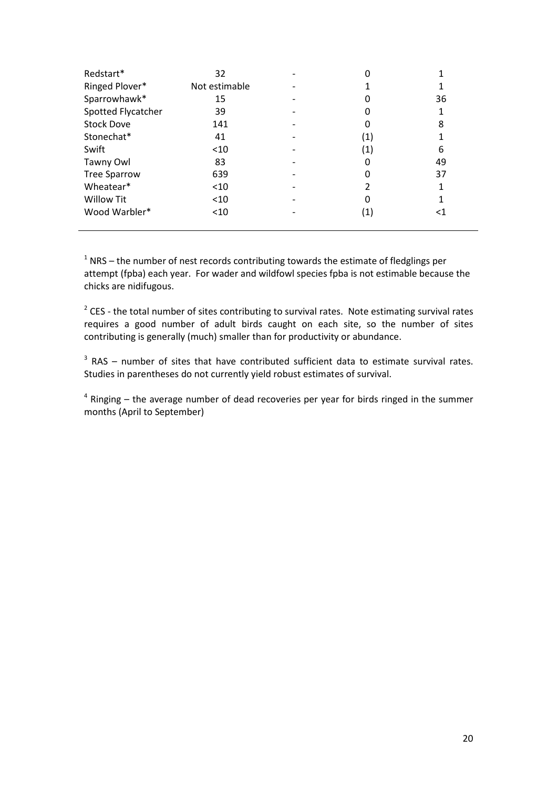| Redstart*           | 32            |                   |    |
|---------------------|---------------|-------------------|----|
| Ringed Plover*      | Not estimable |                   |    |
| Sparrowhawk*        | 15            |                   | 36 |
| Spotted Flycatcher  | 39            |                   | 1  |
| <b>Stock Dove</b>   | 141           |                   | 8  |
| Stonechat*          | 41            | (1)               |    |
| Swift               | $<$ 10        | (1)               | 6  |
| Tawny Owl           | 83            | 0                 | 49 |
| <b>Tree Sparrow</b> | 639           | 0                 | 37 |
| Wheatear*           | $<$ 10        |                   |    |
| <b>Willow Tit</b>   | $<$ 10        | 0                 |    |
| Wood Warbler*       | $<$ 10        | $\left( 1\right)$ | <1 |

 $1$  NRS – the number of nest records contributing towards the estimate of fledglings per attempt (fpba) each year. For wader and wildfowl species fpba is not estimable because the chicks are nidifugous.

 $2$  CES - the total number of sites contributing to survival rates. Note estimating survival rates requires a good number of adult birds caught on each site, so the number of sites contributing is generally (much) smaller than for productivity or abundance.

 $3$  RAS – number of sites that have contributed sufficient data to estimate survival rates. Studies in parentheses do not currently yield robust estimates of survival.

 $4$  Ringing  $-$  the average number of dead recoveries per year for birds ringed in the summer months (April to September)